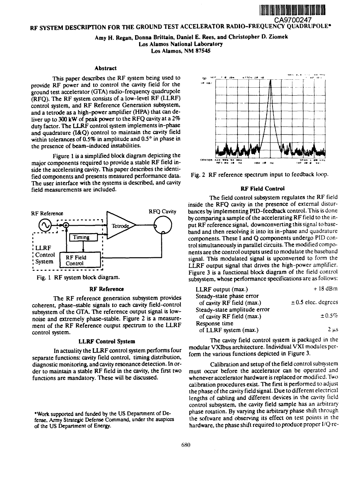

## RF SYSTEM DESCRIPTION FOR THE GROUND TEST ACCELERATOR RADIO-FREQUENCY QUADRUPOLE\*

# Amy H. Regan, Donna Brittain, Daniel E. Rees, and Christopher D. Ziomek Los Alamos National Laboratory Los Alamos, NM 87545

### Abstract

This paper describes the RF system being used to provide RF power and to control the cavity field for the ground test accelerator (GTA) radio-frequency quadrupole  $K$ <sub>(RFQ)</sub>. The RF system consists of a low-level RF (LLRF) control system, and RF Reference Generation subsystem, and a tetrode as a high-power amplifier (HPA) that can deliver up to 300 kW of peak power to the RFQ cavity at a *2%* duty factor. The LLRF control system implements in-phase and quadrature (I&Q) control to maintain the cavity field within tolerances of 0.5% in amplitude and 0.5° in phase in the presence of beam-induced instabilities.

Figure 1 is a simplified block diagram depicting the major components required to provide a stable RF field inside the accelerating cavity. This paper describes the identified components and presents measured performance data. The user interface with the systems is described, and cavity field measurements are included.



#### RF **Reference**

The RF reference generation subsystem provides coherent, phase-stable signals to each cavity field-control subsystem of the GTA. The reference output signal is lownoise and extremely phase-stable. Figure 2 is a measurement of the RF Reference output spectrum to the LLRF control system.

### **LLRF** Control System

In actuality the LLRF control system performs four separate functions: cavity field control, timing distribution, diagnostic monitoring, and cavity resonance detection. In order to maintain a stable RF field in the cavity, the first two functions are mandatory. These will be discussed.

•Work supported and funded by the US Department of Defense, Army Strategic Defense Command, under the auspices of the US Department of Energy.





### **RF Field Control**

The field control subsystem regulates the RF field inside the RFQ cavity in the presence of external disturbances by implementing PID-feedback control. This is done by comparing a sample of the accelerating RF field to the input RF reference signal, downconverting this signal to baseband and then resolving it into its in-phase and quadrature components. These I and Q components undergo PID control simultaneously in parallel circuits. The modified components are the control outputs used to modulate the baseband signal. This modulated signal is upconverted to form the LLRF output signal that drives the high-power amplifier. Figure 3 is a functional block diagram of the field control subsystem, whose performance specifications are as follows:

| LLRF output (max.)                                        | $+18$ dBm               |
|-----------------------------------------------------------|-------------------------|
| Steady-state phase error<br>of cavity RF field (max.)     | $\pm$ 0.5 elec. degrees |
| Steady-state amplitude error<br>of cavity RF field (max.) | $\pm 0.5\%$             |
| Response time<br>of LLRF system (max.)                    | $2 \mu s$               |

The cavity field control system is packaged in the modular VXIbus architecture. Individual VXI modules perform the various functions depicted in Figure 3.

Calibration and setup of the field control subsystem must occur before the accelerator can be operated and whenever accelerator hardware is replaced or modified. Two calibration procedures exist. The first is performed to adjust the phase of the cavity field signal. Due to different electrical lengths of cabling and different devices in the cavity field control subsystem, the cavity field sample has an arbitrary phase rotation. By varying the arbitrary phase shift through the software and observing its effect on test points in the hardware, the phase shift required to produce proper l/Q re-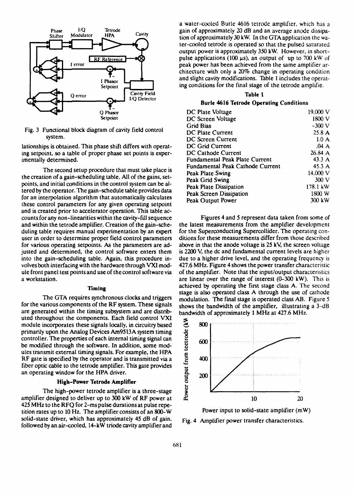

Fig. 3 Functional block diagram of cavity field control system.

lationships is obtained. This phase shift differs with operating setpoint, so a table of proper phase set points is experimentally determined.

The second setup procedure that must take place is the creation of a gain-scheduling table. All of the gains, setpoints, and initial conditions in the control system can be altered by the operator. The gain-schedule table provides data for an interpolation algorithm that automatically calculates these control parameters for any given operating setpoint and is created prior to accelerator operation. This table accounts for any non-linearities within the cavity-fill sequence and within the tetrode amplifier. Creation of the gain-scheduling table requires manual experimentation by an expert user in order to determine proper field control parameters for various operating setpoints. As the parameters are adjusted and determined, the control software enters them into the gain-scheduling table. Again, this procedure involves both interfacing with the hardware through VXI module front panel test points and use of the control software via a workstation.

## **Timing**

The GTA requires synchronous clocks and triggers for the various components of the RF system. These signals are generated within the timing subsystem and are distributed throughout the components. Each field control VXI module incorporates these signals locally, in circuitry based primarily upon the Analog Devices Am9513A system timing controller. The properties of each internal timing signal can be modified through the software. In addition, some modules transmit external timing signals. For example, the HPA RF gate is specified by the operator and is transmitted via a fiber optic cable to the tetrode amplifier. This gate provides an operating window for the HPA driver.

## **High-Power Tetrode Amplifier**

The high-power tetrode amplifier is a three-stage amplifier designed to deliver up to 300 kW of RF power at 425 MHz to the RFQ for 2-ms pulse durations at pulse repetition rates up to 10 Hz. The amplifier consists of an 800-W solid-state driver, which has approximately 45 dB of gain, followed by an air-cooled, 14-kW triode cavity amplifier and

a water-cooled Burle 4616 tetrode amplifier, which has a gain of approximately 20 dB and an average anode dissipation of approximately 30 kW. In the GTA application the water-cooled tetrode is operated so that the pulsed saturated output power is approximately 350 kW. However, in shortpulse applications (100  $\mu$ s), an output of up to 700 kW of peak power has been achieved from the same amplifier architecture with only a 20% change in operating condition and slight cavity modifications. Table 1 includes the operating conditions for the final stage of the tetrode amplifie.

## **Table 1**

#### **Burle 4616 Tetrode Operating** Conditions

| DC Plate Voltage                 | 19.000 V         |
|----------------------------------|------------------|
| DC Screen Voltage                | 1800 V           |
| <b>Grid Bias</b>                 | $-300$ V         |
| DC Plate Current                 | 25.8A            |
| DC Screen Current                | $1.0\ A$         |
| DC Grid Current                  | .04A             |
| DC Cathode Current               | 26.84A           |
| Fundamental Peak Plate Current   | 43.3A            |
| Fundamental Peak Cathode Current | 45.3 A           |
| Peak Plate Swing                 | 14.000 V         |
| Peak Grid Swing                  | 300 V            |
| Peak Plate Dissipation           | 178.1 kW         |
| Peak Screen Dissipation          | 1800 W           |
| Peak Output Power                | $300 \text{ kW}$ |
|                                  |                  |

Figures 4 and 5 represent data taken from some of the latest measurements from the amplifier development for the Superconducting Supercollider. The operating conditions for these measurements differ from those described above in that the anode voltage is 25 kV, the screen voltage is 2200 V, the dc and fundamental current levels are higher due to a higher drive level, and the operating frequency is 427.6 MHz. Figure 4 shows the power transfer characteristic of the amplifier. Note that the input/output characteristics are linear over the range of interest (0-300 kW). This is achieved by operating the first stage class A. The second stage is also operated class A through the use of cathode modulation. The final stage is operated class AB. Figure 5 shows the bandwidth of the amplifier, illustrating a 3-dB bandwidth of approximately 1 MHz at 427.6 MHz.



Power input to solid-state amplifier (mW) Fig. 4 Amplifier power transfer characteristics.